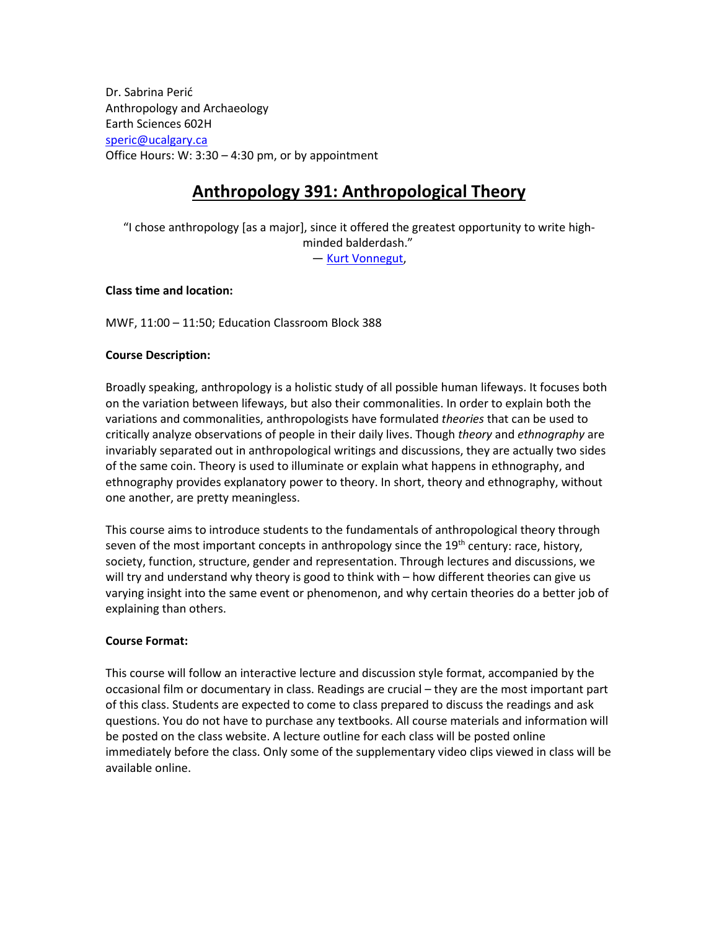Dr. Sabrina Perić Anthropology and Archaeology Earth Sciences 602H [speric@ucalgary.ca](mailto:speric@ucalgary.ca) Office Hours: W: 3:30 – 4:30 pm, or by appointment

# **Anthropology 391: Anthropological Theory**

"I chose anthropology [as a major], since it offered the greatest opportunity to write highminded balderdash." ― [Kurt Vonnegut,](http://www.goodreads.com/author/show/2778055.Kurt_Vonnegut)

**Class time and location:** 

MWF, 11:00 – 11:50; Education Classroom Block 388

### **Course Description:**

Broadly speaking, anthropology is a holistic study of all possible human lifeways. It focuses both on the variation between lifeways, but also their commonalities. In order to explain both the variations and commonalities, anthropologists have formulated *theories* that can be used to critically analyze observations of people in their daily lives. Though *theory* and *ethnography* are invariably separated out in anthropological writings and discussions, they are actually two sides of the same coin. Theory is used to illuminate or explain what happens in ethnography, and ethnography provides explanatory power to theory. In short, theory and ethnography, without one another, are pretty meaningless.

This course aims to introduce students to the fundamentals of anthropological theory through seven of the most important concepts in anthropology since the  $19<sup>th</sup>$  century: race, history, society, function, structure, gender and representation. Through lectures and discussions, we will try and understand why theory is good to think with – how different theories can give us varying insight into the same event or phenomenon, and why certain theories do a better job of explaining than others.

#### **Course Format:**

This course will follow an interactive lecture and discussion style format, accompanied by the occasional film or documentary in class. Readings are crucial – they are the most important part of this class. Students are expected to come to class prepared to discuss the readings and ask questions. You do not have to purchase any textbooks. All course materials and information will be posted on the class website. A lecture outline for each class will be posted online immediately before the class. Only some of the supplementary video clips viewed in class will be available online.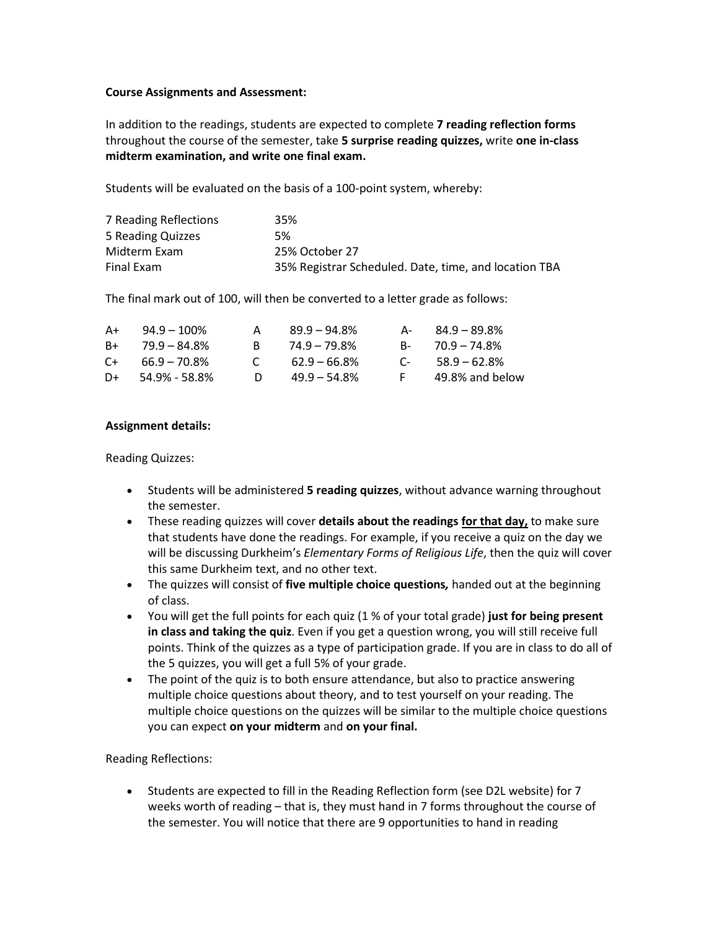#### **Course Assignments and Assessment:**

In addition to the readings, students are expected to complete **7 reading reflection forms** throughout the course of the semester, take **5 surprise reading quizzes,** write **one in-class midterm examination, and write one final exam.** 

Students will be evaluated on the basis of a 100-point system, whereby:

| 7 Reading Reflections | 35%                                                   |
|-----------------------|-------------------------------------------------------|
| 5 Reading Quizzes     | 5%                                                    |
| Midterm Exam          | 25% October 27                                        |
| Final Exam            | 35% Registrar Scheduled. Date, time, and location TBA |

The final mark out of 100, will then be converted to a letter grade as follows:

| A+ | $94.9 - 100\%$  | А            | $89.9 - 94.8%$  |            | $A - 84.9 - 89.8\%$ |
|----|-----------------|--------------|-----------------|------------|---------------------|
| B+ | $79.9 - 84.8\%$ |              | $74.9 - 79.8\%$ |            | B- 70.9 – 74.8%     |
| C+ | $66.9 - 70.8\%$ | $\mathbf{C}$ | $62.9 - 66.8\%$ | $\Gamma$ - | $58.9 - 62.8\%$     |
| D+ | 54.9% - 58.8%   | D.           | $49.9 - 54.8\%$ | F.         | 49.8% and below     |

#### **Assignment details:**

Reading Quizzes:

- Students will be administered **5 reading quizzes**, without advance warning throughout the semester.
- These reading quizzes will cover **details about the readings for that day,** to make sure that students have done the readings. For example, if you receive a quiz on the day we will be discussing Durkheim's *Elementary Forms of Religious Life*, then the quiz will cover this same Durkheim text, and no other text.
- The quizzes will consist of **five multiple choice questions***,* handed out at the beginning of class.
- You will get the full points for each quiz (1 % of your total grade) **just for being present in class and taking the quiz**. Even if you get a question wrong, you will still receive full points. Think of the quizzes as a type of participation grade. If you are in class to do all of the 5 quizzes, you will get a full 5% of your grade.
- The point of the quiz is to both ensure attendance, but also to practice answering multiple choice questions about theory, and to test yourself on your reading. The multiple choice questions on the quizzes will be similar to the multiple choice questions you can expect **on your midterm** and **on your final.**

Reading Reflections:

• Students are expected to fill in the Reading Reflection form (see D2L website) for 7 weeks worth of reading – that is, they must hand in 7 forms throughout the course of the semester. You will notice that there are 9 opportunities to hand in reading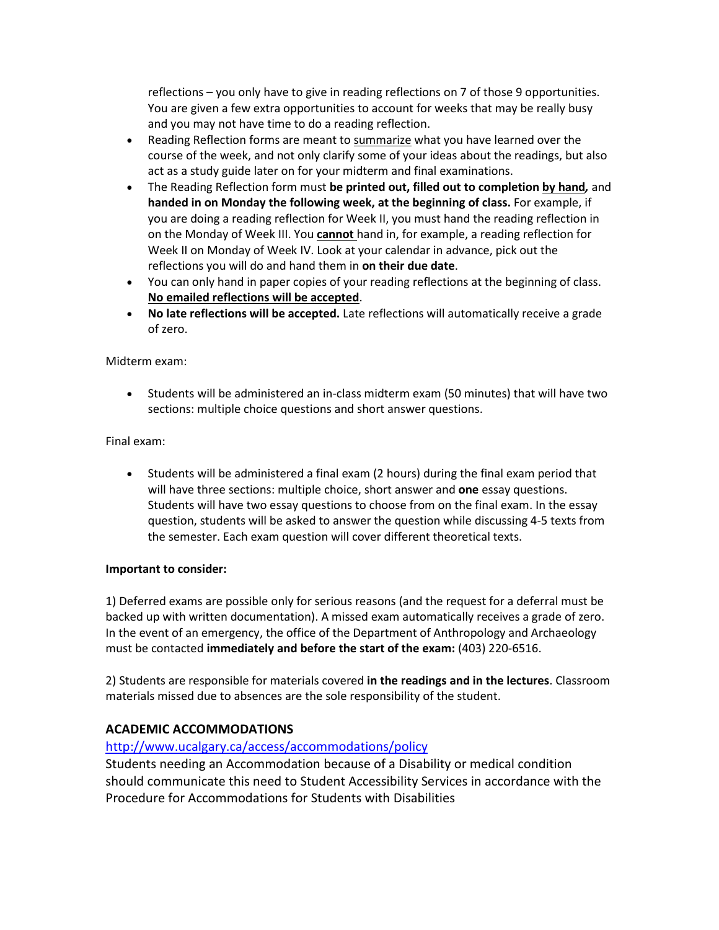reflections – you only have to give in reading reflections on 7 of those 9 opportunities. You are given a few extra opportunities to account for weeks that may be really busy and you may not have time to do a reading reflection.

- Reading Reflection forms are meant to summarize what you have learned over the course of the week, and not only clarify some of your ideas about the readings, but also act as a study guide later on for your midterm and final examinations.
- The Reading Reflection form must **be printed out, filled out to completion by hand***,* and **handed in on Monday the following week, at the beginning of class.** For example, if you are doing a reading reflection for Week II, you must hand the reading reflection in on the Monday of Week III. You **cannot** hand in, for example, a reading reflection for Week II on Monday of Week IV. Look at your calendar in advance, pick out the reflections you will do and hand them in **on their due date**.
- You can only hand in paper copies of your reading reflections at the beginning of class. **No emailed reflections will be accepted**.
- **No late reflections will be accepted.** Late reflections will automatically receive a grade of zero.

#### Midterm exam:

• Students will be administered an in-class midterm exam (50 minutes) that will have two sections: multiple choice questions and short answer questions.

### Final exam:

• Students will be administered a final exam (2 hours) during the final exam period that will have three sections: multiple choice, short answer and **one** essay questions. Students will have two essay questions to choose from on the final exam. In the essay question, students will be asked to answer the question while discussing 4-5 texts from the semester. Each exam question will cover different theoretical texts.

#### **Important to consider:**

1) Deferred exams are possible only for serious reasons (and the request for a deferral must be backed up with written documentation). A missed exam automatically receives a grade of zero. In the event of an emergency, the office of the Department of Anthropology and Archaeology must be contacted **immediately and before the start of the exam:** (403) 220-6516.

2) Students are responsible for materials covered **in the readings and in the lectures**. Classroom materials missed due to absences are the sole responsibility of the student.

## **ACADEMIC ACCOMMODATIONS**

### <http://www.ucalgary.ca/access/accommodations/policy>

Students needing an Accommodation because of a Disability or medical condition should communicate this need to Student Accessibility Services in accordance with the Procedure for Accommodations for Students with Disabilities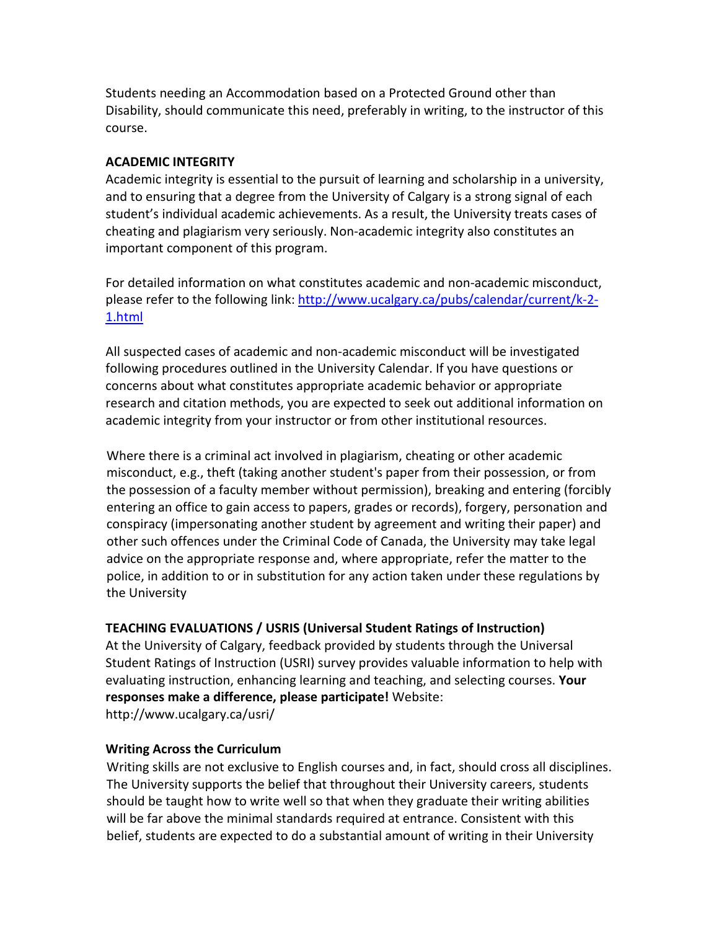Students needing an Accommodation based on a Protected Ground other than Disability, should communicate this need, preferably in writing, to the instructor of this course.

## **ACADEMIC INTEGRITY**

Academic integrity is essential to the pursuit of learning and scholarship in a university, and to ensuring that a degree from the University of Calgary is a strong signal of each student's individual academic achievements. As a result, the University treats cases of cheating and plagiarism very seriously. Non-academic integrity also constitutes an important component of this program.

For detailed information on what constitutes academic and non-academic misconduct, please refer to the following link: [http://www.ucalgary.ca/pubs/calendar/current/k-2-](http://www.ucalgary.ca/pubs/calendar/current/k-2-1.html) [1.html](http://www.ucalgary.ca/pubs/calendar/current/k-2-1.html)

All suspected cases of academic and non-academic misconduct will be investigated following procedures outlined in the University Calendar. If you have questions or concerns about what constitutes appropriate academic behavior or appropriate research and citation methods, you are expected to seek out additional information on academic integrity from your instructor or from other institutional resources.

Where there is a criminal act involved in plagiarism, cheating or other academic misconduct, e.g., theft (taking another student's paper from their possession, or from the possession of a faculty member without permission), breaking and entering (forcibly entering an office to gain access to papers, grades or records), forgery, personation and conspiracy (impersonating another student by agreement and writing their paper) and other such offences under the Criminal Code of Canada, the University may take legal advice on the appropriate response and, where appropriate, refer the matter to the police, in addition to or in substitution for any action taken under these regulations by the University

## **TEACHING EVALUATIONS / USRIS (Universal Student Ratings of Instruction)**

At the University of Calgary, feedback provided by students through the Universal Student Ratings of Instruction (USRI) survey provides valuable information to help with evaluating instruction, enhancing learning and teaching, and selecting courses. **Your responses make a difference, please participate!** Website: http://www.ucalgary.ca/usri/

## **Writing Across the Curriculum**

Writing skills are not exclusive to English courses and, in fact, should cross all disciplines. The University supports the belief that throughout their University careers, students should be taught how to write well so that when they graduate their writing abilities will be far above the minimal standards required at entrance. Consistent with this belief, students are expected to do a substantial amount of writing in their University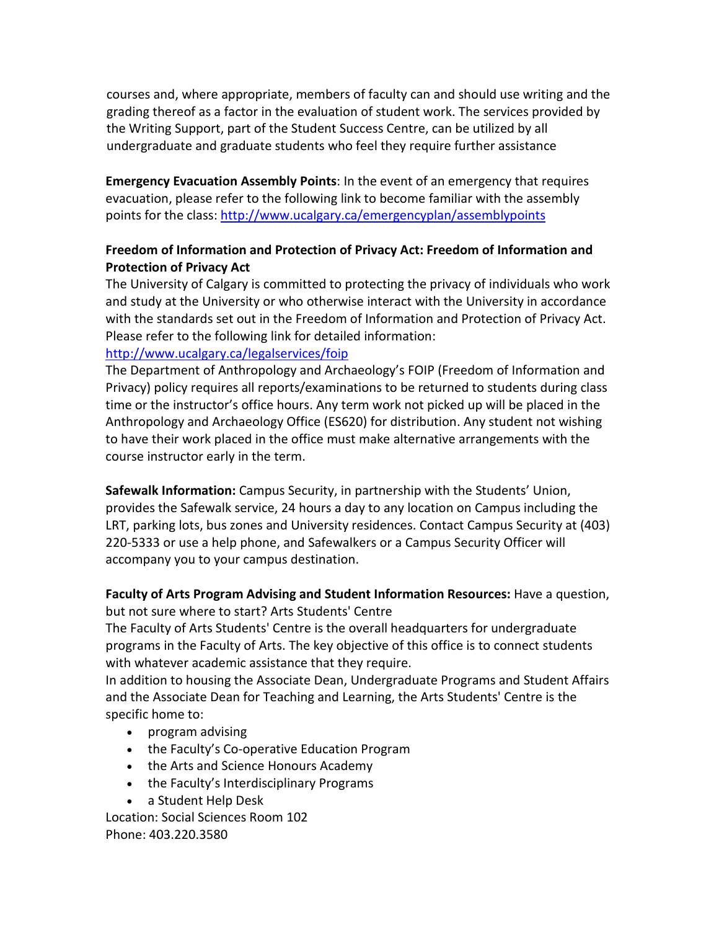courses and, where appropriate, members of faculty can and should use writing and the grading thereof as a factor in the evaluation of student work. The services provided by the Writing Support, part of the Student Success Centre, can be utilized by all undergraduate and graduate students who feel they require further assistance

**Emergency Evacuation Assembly Points**: In the event of an emergency that requires evacuation, please refer to the following link to become familiar with the assembly points for the class:<http://www.ucalgary.ca/emergencyplan/assemblypoints>

## **Freedom of Information and Protection of Privacy Act: Freedom of Information and Protection of Privacy Act**

The University of Calgary is committed to protecting the privacy of individuals who work and study at the University or who otherwise interact with the University in accordance with the standards set out in the Freedom of Information and Protection of Privacy Act. Please refer to the following link for detailed information: <http://www.ucalgary.ca/legalservices/foip>

## The Department of Anthropology and Archaeology's FOIP (Freedom of Information and Privacy) policy requires all reports/examinations to be returned to students during class time or the instructor's office hours. Any term work not picked up will be placed in the Anthropology and Archaeology Office (ES620) for distribution. Any student not wishing to have their work placed in the office must make alternative arrangements with the course instructor early in the term.

**Safewalk Information:** Campus Security, in partnership with the Students' Union, provides the Safewalk service, 24 hours a day to any location on Campus including the LRT, parking lots, bus zones and University residences. Contact Campus Security at (403) 220-5333 or use a help phone, and Safewalkers or a Campus Security Officer will accompany you to your campus destination.

## **Faculty of Arts Program Advising and Student Information Resources:** Have a question, but not sure where to start? Arts Students' Centre

The Faculty of Arts Students' Centre is the overall headquarters for undergraduate programs in the Faculty of Arts. The key objective of this office is to connect students with whatever academic assistance that they require.

In addition to housing the Associate Dean, Undergraduate Programs and Student Affairs and the Associate Dean for Teaching and Learning, the Arts Students' Centre is the specific home to:

- program advising
- the Faculty's Co-operative Education Program
- the Arts and Science Honours Academy
- the Faculty's Interdisciplinary Programs
- a Student Help Desk

Location: Social Sciences Room 102 Phone: 403.220.3580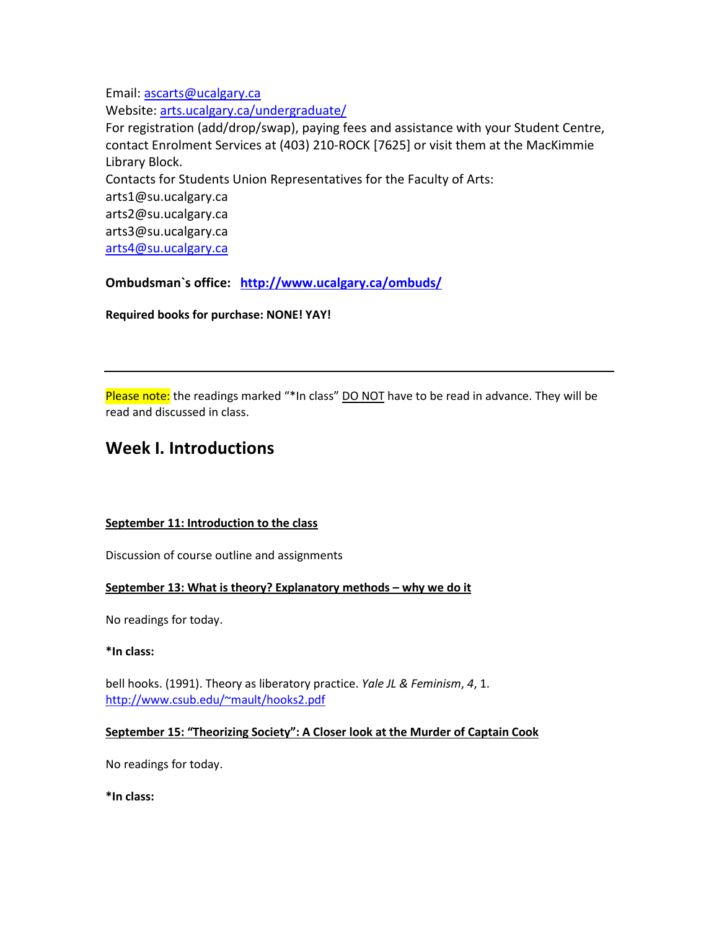Email: [ascarts@ucalgary.ca](http://ucalgary.ca/pubs/calendar/current/ascarts@ucalgary.ca)

Website: [arts.ucalgary.ca/undergraduate/](http://arts.ucalgary.ca/undergraduate/)

For registration (add/drop/swap), paying fees and assistance with your Student Centre, contact Enrolment Services at (403) 210-ROCK [7625] or visit them at the MacKimmie Library Block. Contacts for Students Union Representatives for the Faculty of Arts: arts1@su.ucalgary.ca arts2@su.ucalgary.ca arts3@su.ucalgary.ca [arts4@su.ucalgary.ca](mailto:arts4@su.ucalgary.ca)

**Ombudsman`s office: <http://www.ucalgary.ca/ombuds/>**

**Required books for purchase: NONE! YAY!**

Please note: the readings marked "\*In class" DO NOT have to be read in advance. They will be read and discussed in class.

# **Week I. Introductions**

#### **September 11: Introduction to the class**

Discussion of course outline and assignments

### **September 13: What is theory? Explanatory methods – why we do it**

No readings for today.

**\*In class:** 

bell hooks. (1991). Theory as liberatory practice. *Yale JL & Feminism*, *4*, 1. [http://www.csub.edu/~mault/hooks2.pdf](http://www.csub.edu/%7Emault/hooks2.pdf)

### **September 15: "Theorizing Society": A Closer look at the Murder of Captain Cook**

No readings for today.

**\*In class:**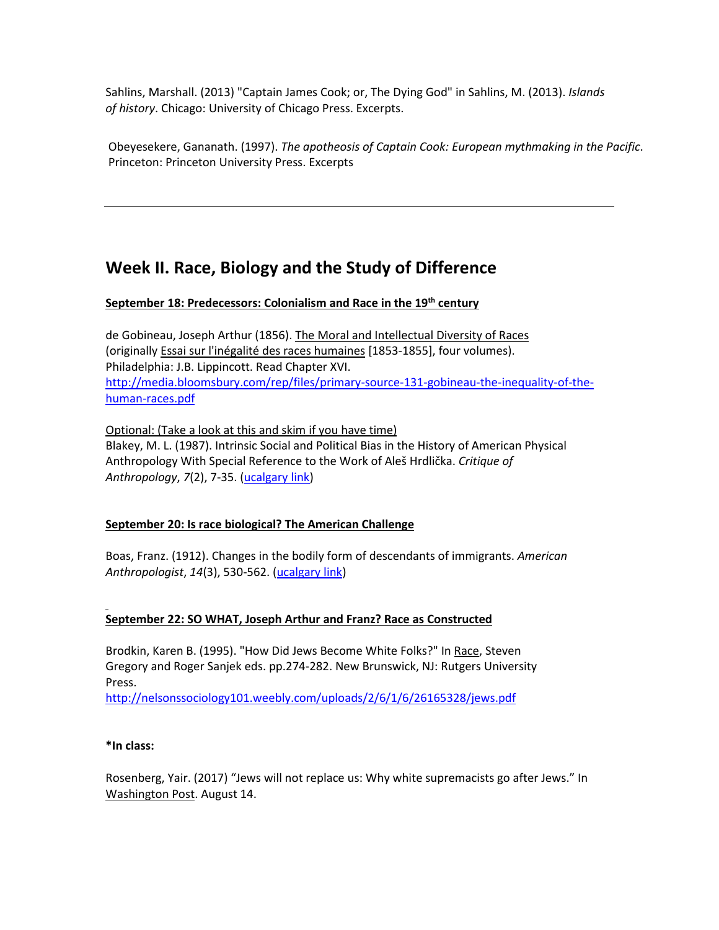Sahlins, Marshall. (2013) "Captain James Cook; or, The Dying God" in Sahlins, M. (2013). *Islands of history*. Chicago: University of Chicago Press. Excerpts.

Obeyesekere, Gananath. (1997). *The apotheosis of Captain Cook: European mythmaking in the Pacific*. Princeton: Princeton University Press. Excerpts

# **Week II. Race, Biology and the Study of Difference**

### **September 18: Predecessors: Colonialism and Race in the 19th century**

de Gobineau, Joseph Arthur (1856). The Moral and Intellectual Diversity of Races (originally Essai sur l'inégalité des races humaines [1853-1855], four volumes). Philadelphia: J.B. Lippincott. Read Chapter XVI. [http://media.bloomsbury.com/rep/files/primary-source-131-gobineau-the-inequality-of-the](http://media.bloomsbury.com/rep/files/primary-source-131-gobineau-the-inequality-of-the-human-races.pdf)[human-races.pdf](http://media.bloomsbury.com/rep/files/primary-source-131-gobineau-the-inequality-of-the-human-races.pdf)

Optional: (Take a look at this and skim if you have time) Blakey, M. L. (1987). Intrinsic Social and Political Bias in the History of American Physical Anthropology With Special Reference to the Work of Aleš Hrdlička. *Critique of Anthropology*, *7*(2), 7-35. [\(ucalgary link\)](http://coa.sagepub.com.ezproxy.lib.ucalgary.ca/content/7/2/7.full.pdf+html)

### **September 20: Is race biological? The American Challenge**

Boas, Franz. (1912). Changes in the bodily form of descendants of immigrants. *American Anthropologist*, *14*(3), 530-562. [\(ucalgary link\)](http://www.jstor.org.ezproxy.lib.ucalgary.ca/stable/pdf/663102.pdf)

### **September 22: SO WHAT, Joseph Arthur and Franz? Race as Constructed**

Brodkin, Karen B. (1995). "How Did Jews Become White Folks?" In Race, Steven Gregory and Roger Sanjek eds. pp.274-282. New Brunswick, NJ: Rutgers University Press.

<http://nelsonssociology101.weebly.com/uploads/2/6/1/6/26165328/jews.pdf>

#### **\*In class:**

Rosenberg, Yair. (2017) "Jews will not replace us: Why white supremacists go after Jews." In Washington Post. August 14.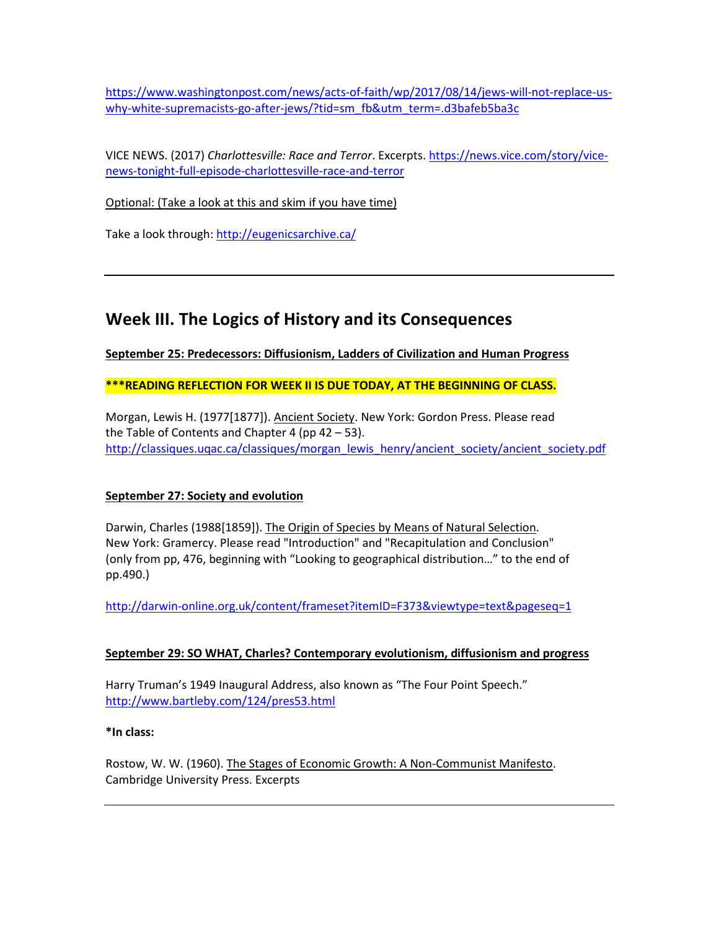[https://www.washingtonpost.com/news/acts-of-faith/wp/2017/08/14/jews-will-not-replace-us](https://www.washingtonpost.com/news/acts-of-faith/wp/2017/08/14/jews-will-not-replace-us-why-white-supremacists-go-after-jews/?tid=sm_fb&utm_term=.d3bafeb5ba3c)[why-white-supremacists-go-after-jews/?tid=sm\\_fb&utm\\_term=.d3bafeb5ba3c](https://www.washingtonpost.com/news/acts-of-faith/wp/2017/08/14/jews-will-not-replace-us-why-white-supremacists-go-after-jews/?tid=sm_fb&utm_term=.d3bafeb5ba3c)

VICE NEWS. (2017) *Charlottesville: Race and Terror*. Excerpts. [https://news.vice.com/story/vice](https://news.vice.com/story/vice-news-tonight-full-episode-charlottesville-race-and-terror)[news-tonight-full-episode-charlottesville-race-and-terror](https://news.vice.com/story/vice-news-tonight-full-episode-charlottesville-race-and-terror)

Optional: (Take a look at this and skim if you have time)

Take a look through:<http://eugenicsarchive.ca/>

# **Week III. The Logics of History and its Consequences**

**September 25: Predecessors: Diffusionism, Ladders of Civilization and Human Progress**

**\*\*\*READING REFLECTION FOR WEEK II IS DUE TODAY, AT THE BEGINNING OF CLASS.**

Morgan, Lewis H. (1977[1877]). Ancient Society. New York: Gordon Press. Please read the Table of Contents and Chapter 4 (pp  $42 - 53$ ). [http://classiques.uqac.ca/classiques/morgan\\_lewis\\_henry/ancient\\_society/ancient\\_society.pdf](http://classiques.uqac.ca/classiques/morgan_lewis_henry/ancient_society/ancient_society.pdf)

#### **September 27: Society and evolution**

Darwin, Charles (1988[1859]). The Origin of Species by Means of Natural Selection. New York: Gramercy. Please read "Introduction" and "Recapitulation and Conclusion" (only from pp, 476, beginning with "Looking to geographical distribution…" to the end of pp.490.)

<http://darwin-online.org.uk/content/frameset?itemID=F373&viewtype=text&pageseq=1>

#### **September 29: SO WHAT, Charles? Contemporary evolutionism, diffusionism and progress**

Harry Truman's 1949 Inaugural Address, also known as "The Four Point Speech." <http://www.bartleby.com/124/pres53.html>

#### **\*In class:**

Rostow, W. W. (1960). The Stages of Economic Growth: A Non-Communist Manifesto. Cambridge University Press. Excerpts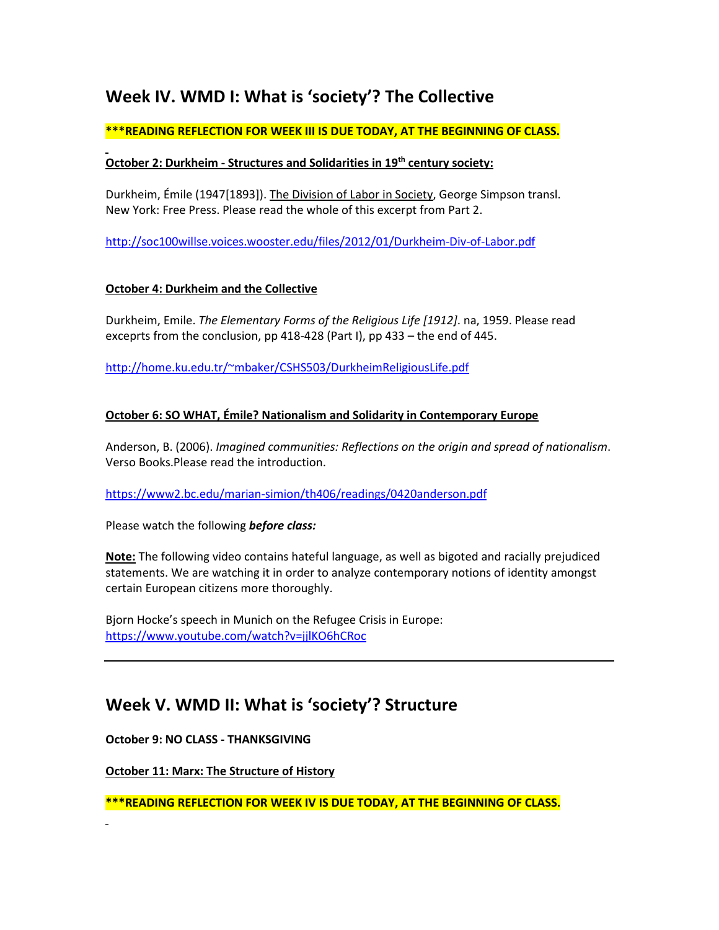# **Week IV. WMD I: What is 'society'? The Collective**

## **\*\*\*READING REFLECTION FOR WEEK III IS DUE TODAY, AT THE BEGINNING OF CLASS.**

### **October 2: Durkheim - Structures and Solidarities in 19th century society:**

Durkheim, Émile (1947[1893]). The Division of Labor in Society, George Simpson transl. New York: Free Press. Please read the whole of this excerpt from Part 2.

<http://soc100willse.voices.wooster.edu/files/2012/01/Durkheim-Div-of-Labor.pdf>

### **October 4: Durkheim and the Collective**

Durkheim, Emile. *The Elementary Forms of the Religious Life [1912]*. na, 1959. Please read exceprts from the conclusion, pp 418-428 (Part I), pp 433 – the end of 445.

[http://home.ku.edu.tr/~mbaker/CSHS503/DurkheimReligiousLife.pdf](http://home.ku.edu.tr/%7Embaker/CSHS503/DurkheimReligiousLife.pdf)

### **October 6: SO WHAT, Émile? Nationalism and Solidarity in Contemporary Europe**

Anderson, B. (2006). *Imagined communities: Reflections on the origin and spread of nationalism*. Verso Books.Please read the introduction.

<https://www2.bc.edu/marian-simion/th406/readings/0420anderson.pdf>

Please watch the following *before class:*

**Note:** The following video contains hateful language, as well as bigoted and racially prejudiced statements. We are watching it in order to analyze contemporary notions of identity amongst certain European citizens more thoroughly.

Bjorn Hocke's speech in Munich on the Refugee Crisis in Europe: <https://www.youtube.com/watch?v=jjlKO6hCRoc>

# **Week V. WMD II: What is 'society'? Structure**

**October 9: NO CLASS - THANKSGIVING**

**October 11: Marx: The Structure of History**

**\*\*\*READING REFLECTION FOR WEEK IV IS DUE TODAY, AT THE BEGINNING OF CLASS.**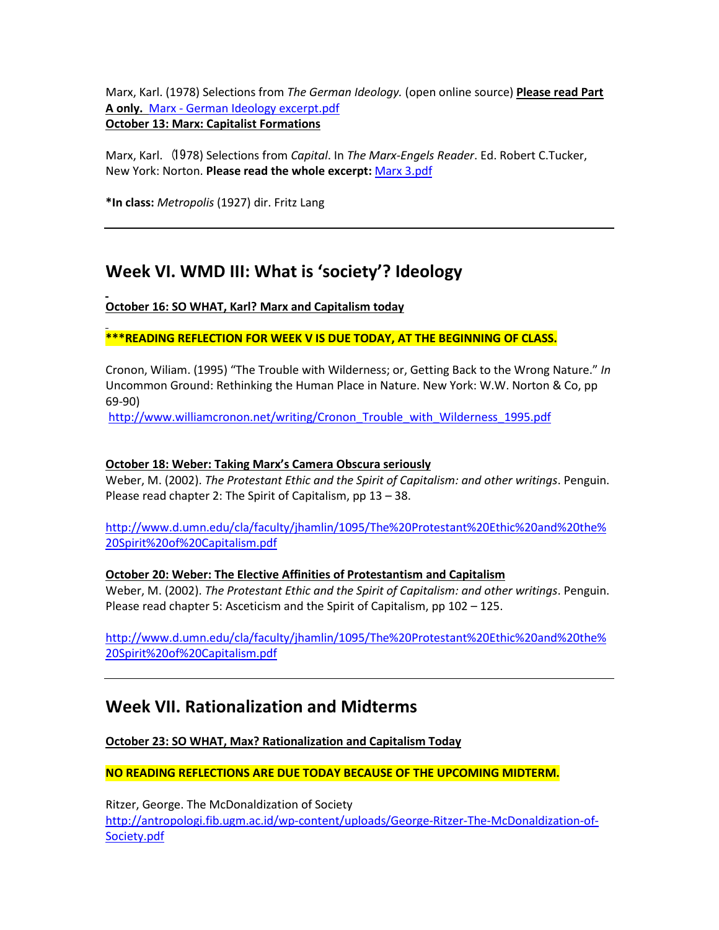Marx, Karl. (1978) Selections from *The German Ideology.* (open online source) **Please read Part A only.** Marx - German Ideology excerpt.pdf

## **October 13: Marx: Capitalist Formations**

Marx, Karl. (1978) Selections from *Capital*. In *The Marx-Engels Reader*. Ed. Robert C.Tucker, New York: Norton. **Please read the whole excerpt:** Marx 3.pdf

**\*In class:** *Metropolis* (1927) dir. Fritz Lang

# **Week VI. WMD III: What is 'society'? Ideology**

**October 16: SO WHAT, Karl? Marx and Capitalism today**

**\*\*\*READING REFLECTION FOR WEEK V IS DUE TODAY, AT THE BEGINNING OF CLASS.**

Cronon, Wiliam. (1995) "The Trouble with Wilderness; or, Getting Back to the Wrong Nature." *In* Uncommon Ground: Rethinking the Human Place in Nature. New York: W.W. Norton & Co, pp 69-90)

[http://www.williamcronon.net/writing/Cronon\\_Trouble\\_with\\_Wilderness\\_1995.pdf](http://www.williamcronon.net/writing/Cronon_Trouble_with_Wilderness_1995.pdf)

### **October 18: Weber: Taking Marx's Camera Obscura seriously**

Weber, M. (2002). *The Protestant Ethic and the Spirit of Capitalism: and other writings*. Penguin. Please read chapter 2: The Spirit of Capitalism, pp 13 – 38.

[http://www.d.umn.edu/cla/faculty/jhamlin/1095/The%20Protestant%20Ethic%20and%20the%](http://www.d.umn.edu/cla/faculty/jhamlin/1095/The%20Protestant%20Ethic%20and%20the%20Spirit%20of%20Capitalism.pdf) [20Spirit%20of%20Capitalism.pdf](http://www.d.umn.edu/cla/faculty/jhamlin/1095/The%20Protestant%20Ethic%20and%20the%20Spirit%20of%20Capitalism.pdf)

## **October 20: Weber: The Elective Affinities of Protestantism and Capitalism**

Weber, M. (2002). *The Protestant Ethic and the Spirit of Capitalism: and other writings*. Penguin. Please read chapter 5: Asceticism and the Spirit of Capitalism, pp 102 – 125.

[http://www.d.umn.edu/cla/faculty/jhamlin/1095/The%20Protestant%20Ethic%20and%20the%](http://www.d.umn.edu/cla/faculty/jhamlin/1095/The%20Protestant%20Ethic%20and%20the%20Spirit%20of%20Capitalism.pdf) [20Spirit%20of%20Capitalism.pdf](http://www.d.umn.edu/cla/faculty/jhamlin/1095/The%20Protestant%20Ethic%20and%20the%20Spirit%20of%20Capitalism.pdf)

# **Week VII. Rationalization and Midterms**

**October 23: SO WHAT, Max? Rationalization and Capitalism Today**

**NO READING REFLECTIONS ARE DUE TODAY BECAUSE OF THE UPCOMING MIDTERM.**

Ritzer, George. The McDonaldization of Society [http://antropologi.fib.ugm.ac.id/wp-content/uploads/George-Ritzer-The-McDonaldization-of-](http://antropologi.fib.ugm.ac.id/wp-content/uploads/George-Ritzer-The-McDonaldization-of-Society.pdf)[Society.pdf](http://antropologi.fib.ugm.ac.id/wp-content/uploads/George-Ritzer-The-McDonaldization-of-Society.pdf)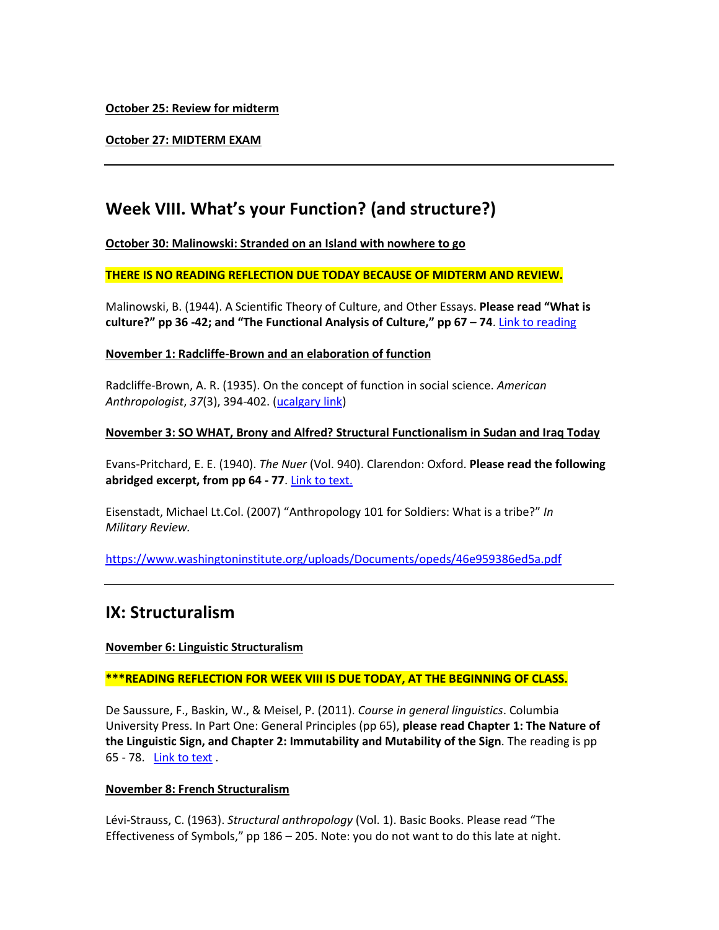**October 25: Review for midterm**

**October 27: MIDTERM EXAM**

# **Week VIII. What's your Function? (and structure?)**

**October 30: Malinowski: Stranded on an Island with nowhere to go**

#### **THERE IS NO READING REFLECTION DUE TODAY BECAUSE OF MIDTERM AND REVIEW.**

Malinowski, B. (1944). A Scientific Theory of Culture, and Other Essays. **Please read "What is culture?" pp 36 -42; and "The Functional Analysis of Culture," pp 67 – 74**. [Link to reading](https://monoskop.org/images/f/f5/Malinowski_Bronislaw_A_Scientific_Theory_of_Culture_and_Other_Essays_1961.pdf)

#### **November 1: Radcliffe-Brown and an elaboration of function**

Radcliffe-Brown, A. R. (1935). On the concept of function in social science. *American Anthropologist*, *37*(3), 394-402. [\(ucalgary link\)](http://www.jstor.org.ezproxy.lib.ucalgary.ca/stable/pdf/661962.pdf)

#### **November 3: SO WHAT, Brony and Alfred? Structural Functionalism in Sudan and Iraq Today**

Evans-Pritchard, E. E. (1940). *The Nuer* (Vol. 940). Clarendon: Oxford. **Please read the following abridged excerpt, from pp 64 - 77**. [Link to text.](https://www.uio.no/studier/emner/sv/sai/SOSANT1000/h14/pensumliste/evans-pritchard_the_nuer.pdf)

Eisenstadt, Michael Lt.Col. (2007) "Anthropology 101 for Soldiers: What is a tribe?" *In Military Review.* 

<https://www.washingtoninstitute.org/uploads/Documents/opeds/46e959386ed5a.pdf>

# **IX: Structuralism**

#### **November 6: Linguistic Structuralism**

#### **\*\*\*READING REFLECTION FOR WEEK VIII IS DUE TODAY, AT THE BEGINNING OF CLASS.**

De Saussure, F., Baskin, W., & Meisel, P. (2011). *Course in general linguistics*. Columbia University Press. In Part One: General Principles (pp 65), **please read Chapter 1: The Nature of the Linguistic Sign, and Chapter 2: Immutability and Mutability of the Sign**. The reading is pp 65 - 78. [Link to text](http://home.wlu.edu/%7Elevys/courses/anth252f2006/saussure.pdf) .

#### **November 8: French Structuralism**

Lévi-Strauss, C. (1963). *Structural anthropology* (Vol. 1). Basic Books. Please read "The Effectiveness of Symbols," pp 186 – 205. Note: you do not want to do this late at night.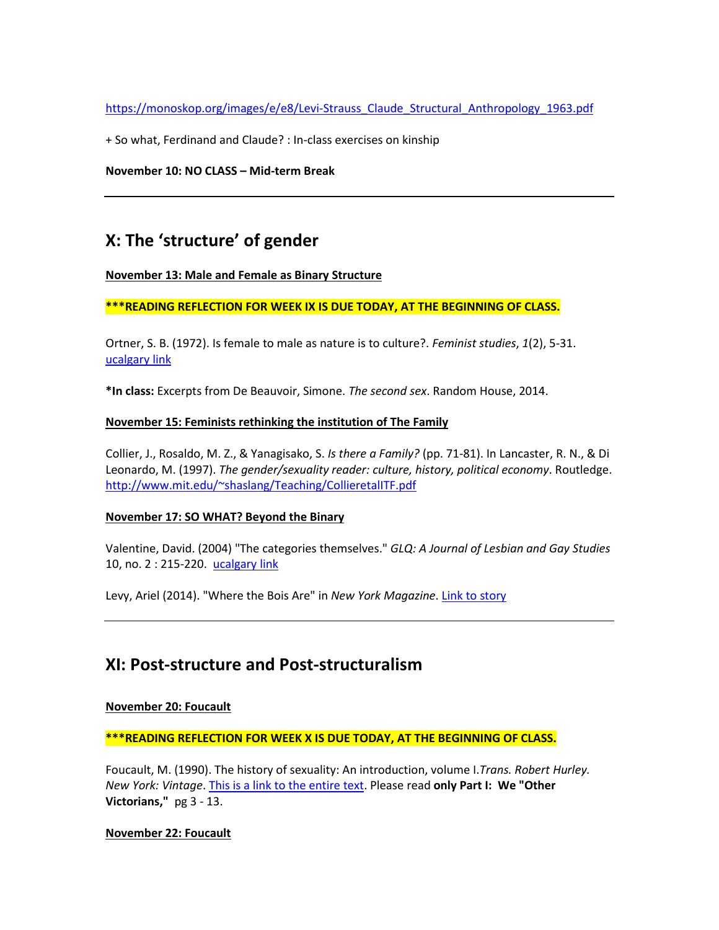[https://monoskop.org/images/e/e8/Levi-Strauss\\_Claude\\_Structural\\_Anthropology\\_1963.pdf](https://monoskop.org/images/e/e8/Levi-Strauss_Claude_Structural_Anthropology_1963.pdf)

+ So what, Ferdinand and Claude? : In-class exercises on kinship

**November 10: NO CLASS – Mid-term Break**

# **X: The 'structure' of gender**

#### **November 13: Male and Female as Binary Structure**

#### **\*\*\*READING REFLECTION FOR WEEK IX IS DUE TODAY, AT THE BEGINNING OF CLASS.**

Ortner, S. B. (1972). Is female to male as nature is to culture?. *Feminist studies*, *1*(2), 5-31. [ucalgary link](http://classes.uleth.ca/201001/anth1000a/women%20culture.pdf)

**\*In class:** Excerpts from De Beauvoir, Simone. *The second sex*. Random House, 2014.

#### **November 15: Feminists rethinking the institution of The Family**

Collier, J., Rosaldo, M. Z., & Yanagisako, S. *Is there a Family?* (pp. 71-81). In Lancaster, R. N., & Di Leonardo, M. (1997). *The gender/sexuality reader: culture, history, political economy*. Routledge. [http://www.mit.edu/~shaslang/Teaching/CollieretalITF.pdf](http://www.mit.edu/%7Eshaslang/Teaching/CollieretalITF.pdf)

#### **November 17: SO WHAT? Beyond the Binary**

Valentine, David. (2004) "The categories themselves." *GLQ: A Journal of Lesbian and Gay Studies* 10, no. 2 : 215-220. [ucalgary link](http://sites.middlebury.edu/soan191/files/2013/08/valentinecategories.pdf)

Levy, Ariel (2014). "Where the Bois Are" in *New York Magazine*. [Link to story](http://nymag.com/nymetro/news/features/n_9709/)

## **XI: Post-structure and Post-structuralism**

#### **November 20: Foucault**

**\*\*\*READING REFLECTION FOR WEEK X IS DUE TODAY, AT THE BEGINNING OF CLASS.**

Foucault, M. (1990). The history of sexuality: An introduction, volume I.*Trans. Robert Hurley. New York: Vintage*. [This is a link to the entire text.](https://suplaney.files.wordpress.com/2010/09/foucault-the-history-of-sexuality-volume-1.pdf) Please read **only Part I: We "Other Victorians,"** pg 3 - 13.

#### **November 22: Foucault**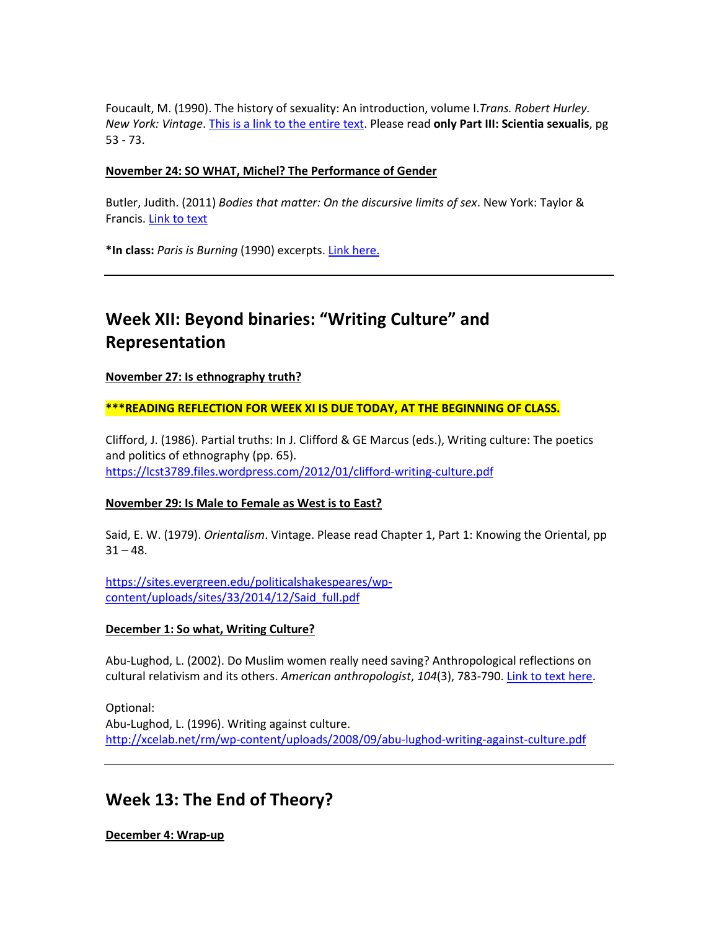Foucault, M. (1990). The history of sexuality: An introduction, volume I.*Trans. Robert Hurley. New York: Vintage*. [This is a link to the entire text.](https://suplaney.files.wordpress.com/2010/09/foucault-the-history-of-sexuality-volume-1.pdf) Please read **only Part III: Scientia sexualis**, pg 53 - 73.

#### **November 24: SO WHAT, Michel? The Performance of Gender**

Butler, Judith. (2011) *Bodies that matter: On the discursive limits of sex*. New York: Taylor & Francis. [Link to text](https://www2.warwick.ac.uk/fac/arts/english/currentstudents/pg/masters/modules/femlit/bodies-that-matter.pdf)

**\*In class:** *Paris is Burning* (1990) excerpts[. Link here.](https://www.youtube.com/watch?v=hedJer7I1vI)

# **Week XII: Beyond binaries: "Writing Culture" and Representation**

**November 27: Is ethnography truth?** 

**\*\*\*READING REFLECTION FOR WEEK XI IS DUE TODAY, AT THE BEGINNING OF CLASS.**

Clifford, J. (1986). Partial truths: In J. Clifford & GE Marcus (eds.), Writing culture: The poetics and politics of ethnography (pp. 65). <https://lcst3789.files.wordpress.com/2012/01/clifford-writing-culture.pdf>

#### **November 29: Is Male to Female as West is to East?**

Said, E. W. (1979). *Orientalism*. Vintage. Please read Chapter 1, Part 1: Knowing the Oriental, pp  $31 - 48.$ 

[https://sites.evergreen.edu/politicalshakespeares/wp](https://sites.evergreen.edu/politicalshakespeares/wp-content/uploads/sites/33/2014/12/Said_full.pdf)[content/uploads/sites/33/2014/12/Said\\_full.pdf](https://sites.evergreen.edu/politicalshakespeares/wp-content/uploads/sites/33/2014/12/Said_full.pdf)

#### **December 1: So what, Writing Culture?**

Abu-Lughod, L. (2002). Do Muslim women really need saving? Anthropological reflections on cultural relativism and its others. *American anthropologist*, *104*(3), 783-790[. Link to text here.](http://org.uib.no/smi/seminars/Pensum/Abu-Lughod.pdf)

Optional: Abu-Lughod, L. (1996). Writing against culture. <http://xcelab.net/rm/wp-content/uploads/2008/09/abu-lughod-writing-against-culture.pdf>

## **Week 13: The End of Theory?**

**December 4: Wrap-up**